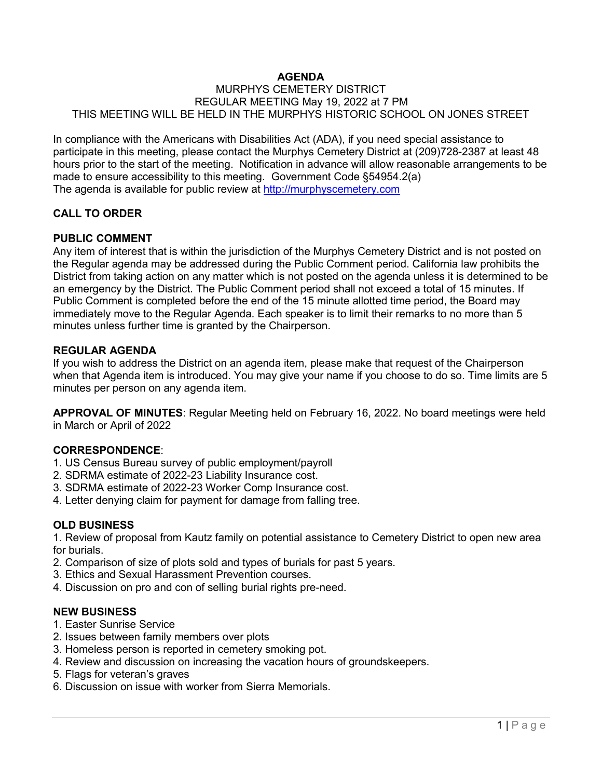# **AGENDA**

#### MURPHYS CEMETERY DISTRICT REGULAR MEETING May 19, 2022 at 7 PM THIS MEETING WILL BE HELD IN THE MURPHYS HISTORIC SCHOOL ON JONES STREET

In compliance with the Americans with Disabilities Act (ADA), if you need special assistance to participate in this meeting, please contact the Murphys Cemetery District at (209)728-2387 at least 48 hours prior to the start of the meeting. Notification in advance will allow reasonable arrangements to be made to ensure accessibility to this meeting. Government Code §54954.2(a) The agenda is available for public review at [http://murphyscemetery.com](http://murphyscemetery.com/) 

## **CALL TO ORDER**

#### **PUBLIC COMMENT**

Any item of interest that is within the jurisdiction of the Murphys Cemetery District and is not posted on the Regular agenda may be addressed during the Public Comment period. California law prohibits the District from taking action on any matter which is not posted on the agenda unless it is determined to be an emergency by the District. The Public Comment period shall not exceed a total of 15 minutes. If Public Comment is completed before the end of the 15 minute allotted time period, the Board may immediately move to the Regular Agenda. Each speaker is to limit their remarks to no more than 5 minutes unless further time is granted by the Chairperson.

#### **REGULAR AGENDA**

If you wish to address the District on an agenda item, please make that request of the Chairperson when that Agenda item is introduced. You may give your name if you choose to do so. Time limits are 5 minutes per person on any agenda item.

**APPROVAL OF MINUTES**: Regular Meeting held on February 16, 2022. No board meetings were held in March or April of 2022

## **CORRESPONDENCE**:

- 1. US Census Bureau survey of public employment/payroll
- 2. SDRMA estimate of 2022-23 Liability Insurance cost.
- 3. SDRMA estimate of 2022-23 Worker Comp Insurance cost.
- 4. Letter denying claim for payment for damage from falling tree.

## **OLD BUSINESS**

1. Review of proposal from Kautz family on potential assistance to Cemetery District to open new area for burials.

- 2. Comparison of size of plots sold and types of burials for past 5 years.
- 3. Ethics and Sexual Harassment Prevention courses.
- 4. Discussion on pro and con of selling burial rights pre-need.

## **NEW BUSINESS**

- 1. Easter Sunrise Service
- 2. Issues between family members over plots
- 3. Homeless person is reported in cemetery smoking pot.
- 4. Review and discussion on increasing the vacation hours of groundskeepers.
- 5. Flags for veteran's graves
- 6. Discussion on issue with worker from Sierra Memorials.